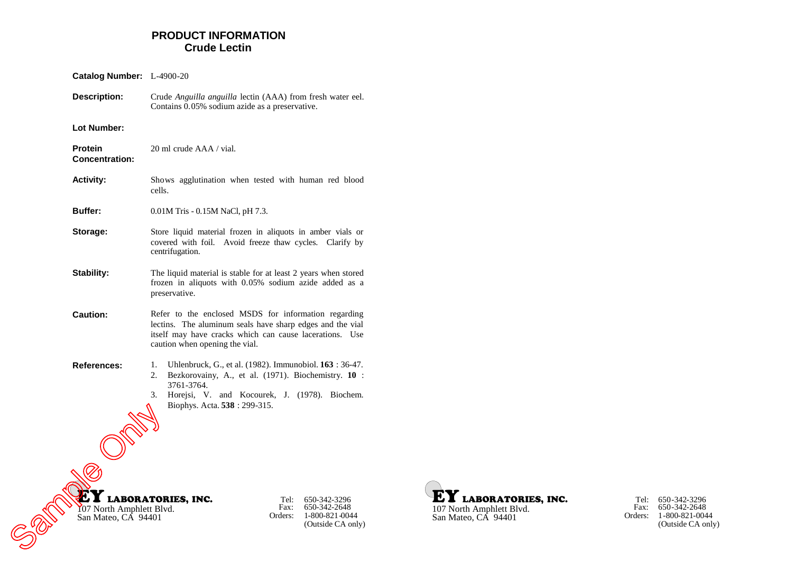# **PRODUCT INFORMATION Crude Lectin**

| Catalog Number: L-4900-20                       |                                                                                                                                                                                                                                 |
|-------------------------------------------------|---------------------------------------------------------------------------------------------------------------------------------------------------------------------------------------------------------------------------------|
| <b>Description:</b>                             | Crude Anguilla anguilla lectin (AAA) from fresh water eel.<br>Contains 0.05% sodium azide as a preservative.                                                                                                                    |
| Lot Number:                                     |                                                                                                                                                                                                                                 |
| Protein<br><b>Concentration:</b>                | 20 ml crude AAA / vial.                                                                                                                                                                                                         |
| <b>Activity:</b>                                | Shows agglutination when tested with human red blood<br>cells.                                                                                                                                                                  |
| <b>Buffer:</b>                                  | $0.01M$ Tris - $0.15M$ NaCl, pH 7.3.                                                                                                                                                                                            |
| Storage:                                        | Store liquid material frozen in aliquots in amber vials or<br>covered with foil. Avoid freeze thaw cycles. Clarify by<br>centrifugation.                                                                                        |
| Stability:                                      | The liquid material is stable for at least 2 years when stored<br>frozen in aliquots with 0.05% sodium azide added as a<br>preservative.                                                                                        |
| <b>Caution:</b>                                 | Refer to the enclosed MSDS for information regarding<br>lectins. The aluminum seals have sharp edges and the vial<br>itself may have cracks which can cause lacerations. Use<br>caution when opening the vial.                  |
| <b>References:</b>                              | Uhlenbruck, G., et al. (1982). Immunobiol. 163 : 36-47.<br>1.<br>Bezkorovainy, A., et al. (1971). Biochemistry. 10 :<br>2.<br>3761-3764.<br>3.<br>Horejsi, V. and Kocourek, J. (1978). Biochem.<br>Biophys. Acta. 538: 299-315. |
| Y07 North Amphlett Blvd.<br>San Mateo, CA 94401 | <b>LABORATORIES, INC.</b><br>Tel:<br>650-342-3296<br>650-342-2648<br>Fax:<br>1-800-821-0044<br>Orders:<br>(Outside CA only)                                                                                                     |



Tel: Fax: Orders: 1-800-821-0044 650-342-3296 650-342-2648 (Outside CA only)